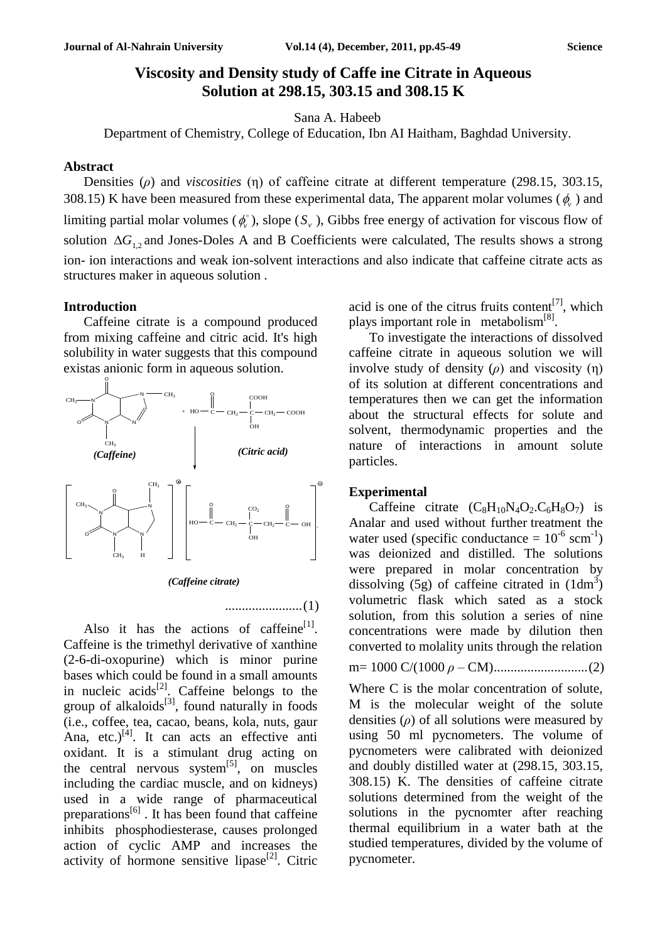# **Viscosity and Density study of Caffe ine Citrate in Aqueous Solution at 298.15, 303.15 and 308.15 K**

Sana A. Habeeb

Department of Chemistry, College of Education, Ibn AI Haitham, Baghdad University.

## **Abstract**

Densities (*ρ*) and *viscosities* (η) of caffeine citrate at different temperature (298.15, 303.15, 308.15) K have been measured from these experimental data, The apparent molar volumes ( $\phi$ ) and limiting partial molar volumes ( $\phi$ <sup>o</sup>), slope (S<sub>v</sub>), Gibbs free energy of activation for viscous flow of solution  $\Delta G_{1,2}$  and Jones-Doles A and B Coefficients were calculated, The results shows a strong ion- ion interactions and weak ion-solvent interactions and also indicate that caffeine citrate acts as structures maker in aqueous solution .

### **Introduction**

Caffeine citrate is a compound produced from mixing caffeine and citric acid. It's high solubility in water suggests that this compound existas anionic form in aqueous solution.



*(Caffeine citrate)*

.......................(1)

Also it has the actions of caffeine $[1]$ . Caffeine is the trimethyl derivative of xanthine (2-6-di-oxopurine) which is minor purine bases which could be found in a small amounts in nucleic acids $^{[2]}$ . Caffeine belongs to the group of alkaloids<sup>[3]</sup>, found naturally in foods (i.e., coffee, tea, cacao, beans, kola, nuts, gaur Ana, etc.) $^{[4]}$ . It can acts an effective anti oxidant. It is a stimulant drug acting on the central nervous system<sup>[5]</sup>, on muscles including the cardiac muscle, and on kidneys) used in a wide range of pharmaceutical preparations $^{[6]}$ . It has been found that caffeine inhibits phosphodiesterase, causes prolonged action of cyclic AMP and increases the activity of hormone sensitive lipase<sup>[2]</sup>. Citric

acid is one of the citrus fruits content<sup>[7]</sup>, which plays important role in metabolism<sup>[8]</sup>.

To investigate the interactions of dissolved caffeine citrate in aqueous solution we will involve study of density (*ρ*) and viscosity (η) of its solution at different concentrations and temperatures then we can get the information about the structural effects for solute and solvent, thermodynamic properties and the nature of interactions in amount solute particles.

### **Experimental**

Caffeine citrate  $(C_8H_{10}N_4O_2.C_6H_8O_7)$  is Analar and used without further treatment the water used (specific conductance =  $10^{-6}$  scm<sup>-1</sup>) was deionized and distilled. The solutions were prepared in molar concentration by dissolving (5g) of caffeine citrated in  $(1dm^3)$ volumetric flask which sated as a stock solution, from this solution a series of nine concentrations were made by dilution then converted to molality units through the relation m= 1000 C/(1000 *ρ* – CM)............................(2) Where C is the molar concentration of solute, M is the molecular weight of the solute densities (*ρ*) of all solutions were measured by using 50 ml pycnometers. The volume of pycnometers were calibrated with deionized

and doubly distilled water at (298.15, 303.15, 308.15) K. The densities of caffeine citrate solutions determined from the weight of the solutions in the pycnomter after reaching thermal equilibrium in a water bath at the studied temperatures, divided by the volume of pycnometer.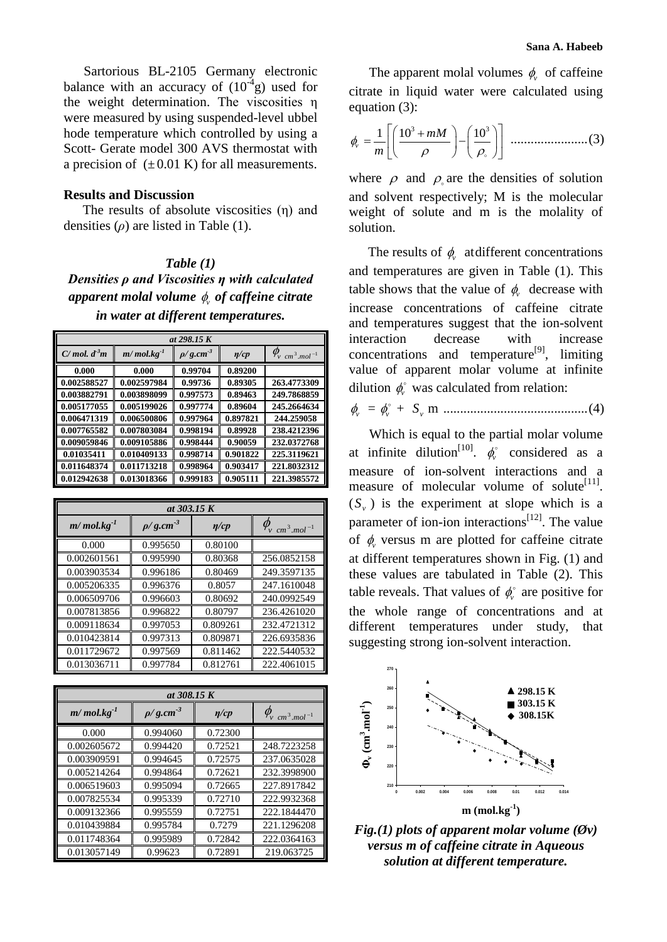Sartorious BL-2105 Germany electronic balance with an accuracy of  $(10^4 g)$  used for the weight determination. The viscosities η were measured by using suspended-level ubbel hode temperature which controlled by using a Scott- Gerate model 300 AVS thermostat with a precision of  $(\pm 0.01 \text{ K})$  for all measurements.

### **Results and Discussion**

The results of absolute viscosities (η) and densities (*ρ*) are listed in Table (1).

### *Table (1)*

*Densities ρ and Viscosities η with calculated apparent molal volume v of caffeine citrate in water at different temperatures.*

| at 298.15 K      |                     |                  |            |                                   |
|------------------|---------------------|------------------|------------|-----------------------------------|
| $C/mol$ , $d^3m$ | $m/mol$ . $kg^{-1}$ | $\rho/g.cm^{-3}$ | $\eta$ /cp | $\varphi_{\rm v \ cm^3.mol^{-1}}$ |
| 0.000            | 0.000               | 0.99704          | 0.89200    |                                   |
| 0.002588527      | 0.002597984         | 0.99736          | 0.89305    | 263.4773309                       |
| 0.003882791      | 0.003898099         | 0.997573         | 0.89463    | 249.7868859                       |
| 0.005177055      | 0.005199026         | 0.997774         | 0.89604    | 245.2664634                       |
| 0.006471319      | 0.006500806         | 0.997964         | 0.897821   | 244.259058                        |
| 0.007765582      | 0.007803084         | 0.998194         | 0.89928    | 238.4212396                       |
| 0.009059846      | 0.009105886         | 0.998444         | 0.90059    | 232.0372768                       |
| 0.01035411       | 0.010409133         | 0.998714         | 0.901822   | 225.3119621                       |
| 0.011648374      | 0.011713218         | 0.998964         | 0.903417   | 221.8032312                       |
| 0.012942638      | 0.013018366         | 0.999183         | 0.905111   | 221.3985572                       |

| at 303.15 K         |                  |            |                          |  |
|---------------------|------------------|------------|--------------------------|--|
| $m/mol$ . $kg^{-1}$ | $\rho/g.cm^{-3}$ | $\eta$ /cp | $cm^3$ mol <sup>-1</sup> |  |
| 0.000               | 0.995650         | 0.80100    |                          |  |
| 0.002601561         | 0.995990         | 0.80368    | 256.0852158              |  |
| 0.003903534         | 0.996186         | 0.80469    | 249.3597135              |  |
| 0.005206335         | 0.996376         | 0.8057     | 247.1610048              |  |
| 0.006509706         | 0.996603         | 0.80692    | 240.0992549              |  |
| 0.007813856         | 0.996822         | 0.80797    | 236.4261020              |  |
| 0.009118634         | 0.997053         | 0.809261   | 232.4721312              |  |
| 0.010423814         | 0.997313         | 0.809871   | 226.6935836              |  |
| 0.011729672         | 0.997569         | 0.811462   | 222.5440532              |  |
| 0.013036711         | 0.997784         | 0.812761   | 222.4061015              |  |

| at 308.15 K         |                  |            |                           |  |
|---------------------|------------------|------------|---------------------------|--|
| $m/mol$ . $kg^{-1}$ | $\rho/g.cm^{-3}$ | $\eta$ /cp | $cm^3$ .mol <sup>-1</sup> |  |
| 0.000               | 0.994060         | 0.72300    |                           |  |
| 0.002605672         | 0.994420         | 0.72521    | 248.7223258               |  |
| 0.003909591         | 0.994645         | 0.72575    | 237.0635028               |  |
| 0.005214264         | 0.994864         | 0.72621    | 232.3998900               |  |
| 0.006519603         | 0.995094         | 0.72665    | 227.8917842               |  |
| 0.007825534         | 0.995339         | 0.72710    | 222.9932368               |  |
| 0.009132366         | 0.995559         | 0.72751    | 222.1844470               |  |
| 0.010439884         | 0.995784         | 0.7279     | 221.1296208               |  |
| 0.011748364         | 0.995989         | 0.72842    | 222.0364163               |  |
| 0.013057149         | 0.99623          | 0.72891    | 219.063725                |  |

The apparent molal volumes  $\phi$  of caffeine citrate in liquid water were calculated using equation (3):

3 3 1 10 10 ......................(3) *v mM m* .......................(3)

where  $\rho$  and  $\rho$  are the densities of solution and solvent respectively; M is the molecular weight of solute and m is the molality of solution.

The results of  $\phi$  at different concentrations and temperatures are given in Table (1). This table shows that the value of  $\phi$  decrease with increase concentrations of caffeine citrate and temperatures suggest that the ion-solvent interaction decrease with increase concentrations and temperature<sup>[9]</sup>, limiting value of apparent molar volume at infinite dilution  $\phi$ <sup>*'*</sup> was calculated from relation:

*v* = *v* + *v S* m ...........................................(4)

Which is equal to the partial molar volume at infinite dilution<sup>[10]</sup>.  $\phi$  considered as a measure of ion-solvent interactions and a measure of molecular volume of solute $^{[11]}$ .  $(S_y)$  is the experiment at slope which is a parameter of ion-ion interactions $^{[12]}$ . The value of  $\phi$  versus m are plotted for caffeine citrate at different temperatures shown in Fig. (1) and these values are tabulated in Table (2). This table reveals. That values of  $\phi_{\nu}^{\circ}$  are positive for the whole range of concentrations and at different temperatures under study, that suggesting strong ion-solvent interaction.



*Fig.(1) plots of apparent molar volume (Øv) versus m of caffeine citrate in Aqueous solution at different temperature.*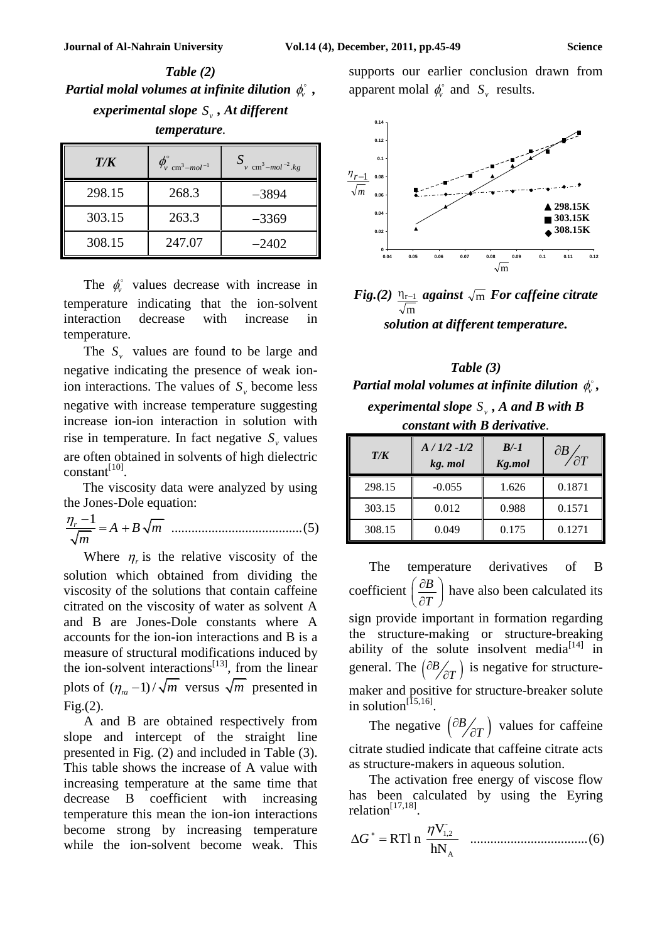*Table (2)* Partial molal volumes at infinite dilution  $\phi_{\nu}^{\circ}$  , *experimental slope*  $S_{v}$ , *At different temperature.*

| T/K    | $\phi_{\rm v \ cm^3 - mol^{-1}}^{\circ}$ | $S_{v \text{ cm}^3 - mol^{-2}.kg}$ |
|--------|------------------------------------------|------------------------------------|
| 298.15 | 268.3                                    | $-3894$                            |
| 303.15 | 263.3                                    | $-3369$                            |
| 308.15 | 247.07                                   | $-2402$                            |

The  $\phi_{\nu}^{\circ}$  values decrease with increase in temperature indicating that the ion-solvent interaction decrease with increase in temperature.

The  $S_{\nu}$  values are found to be large and negative indicating the presence of weak ionion interactions. The values of  $S<sub>v</sub>$  become less negative with increase temperature suggesting increase ion-ion interaction in solution with rise in temperature. In fact negative  $S<sub>v</sub>$  values are often obtained in solvents of high dielectric  $constant^{[10]}$ .

The viscosity data were analyzed by using the Jones-Dole equation:

$$
\frac{\eta_r - 1}{\sqrt{m}} = A + B\sqrt{m}
$$
 ....... (5)

Where  $\eta_r$  is the relative viscosity of the solution which obtained from dividing the viscosity of the solutions that contain caffeine citrated on the viscosity of water as solvent A and B are Jones-Dole constants where A accounts for the ion-ion interactions and B is a measure of structural modifications induced by the ion-solvent interactions $^{[13]}$ , from the linear plots of  $(\eta_m - 1) / \sqrt{m}$  versus  $\sqrt{m}$  presented in Fig.(2).

A and B are obtained respectively from slope and intercept of the straight line presented in Fig. (2) and included in Table (3). This table shows the increase of A value with increasing temperature at the same time that decrease B coefficient with increasing temperature this mean the ion-ion interactions become strong by increasing temperature while the ion-solvent become weak. This

supports our earlier conclusion drawn from apparent molal  $\phi_{\nu}^{\circ}$  and  $S_{\nu}$  results.



*Fig.(2)* m r<sup>1</sup> *against*  m *For caffeine citrate solution at different temperature.*

*Table (3)* Partial molal volumes at infinite dilution  $\phi_{\scriptscriptstyle v}^{\scriptscriptstyle \circ}$  , *experimental slope*  $S_{\nu}$  *, A and B with B constant with B derivative.*

| T/K    | $A/1/2 -1/2$<br>kg. mol | $B/-1$<br>Kg.mol | $\partial B$<br>$\angle \partial T$ |
|--------|-------------------------|------------------|-------------------------------------|
| 298.15 | $-0.055$                | 1.626            | 0.1871                              |
| 303.15 | 0.012                   | 0.988            | 0.1571                              |
| 308.15 | 0.049                   | 0.175            | 0.1271                              |

The temperature derivatives of B coefficient *B T*  $\left(\begin{array}{c} \partial B \end{array}\right)$  $\left(\frac{c}{\partial T}\right)$  have also been calculated its sign provide important in formation regarding the structure-making or structure-breaking ability of the solute insolvent media $[14]$  in general. The  $\left(\frac{\partial B}{\partial T}\right)$ *T*  $\partial$  $\chi_{\partial T}$  is negative for structuremaker and positive for structure-breaker solute in solution<sup>[15,16]</sup>.

The negative  $\left(\frac{\partial B}{\partial T}\right)$ *T*  $\partial$  $\chi_{\partial T}$ ) values for caffeine citrate studied indicate that caffeine citrate acts as structure-makers in aqueous solution.

The activation free energy of viscose flow has been calculated by using the Eyring relation $^{[17,18]}$ .

- 1,2 A V RTl n ...........(6) hN *G* ...................................(6)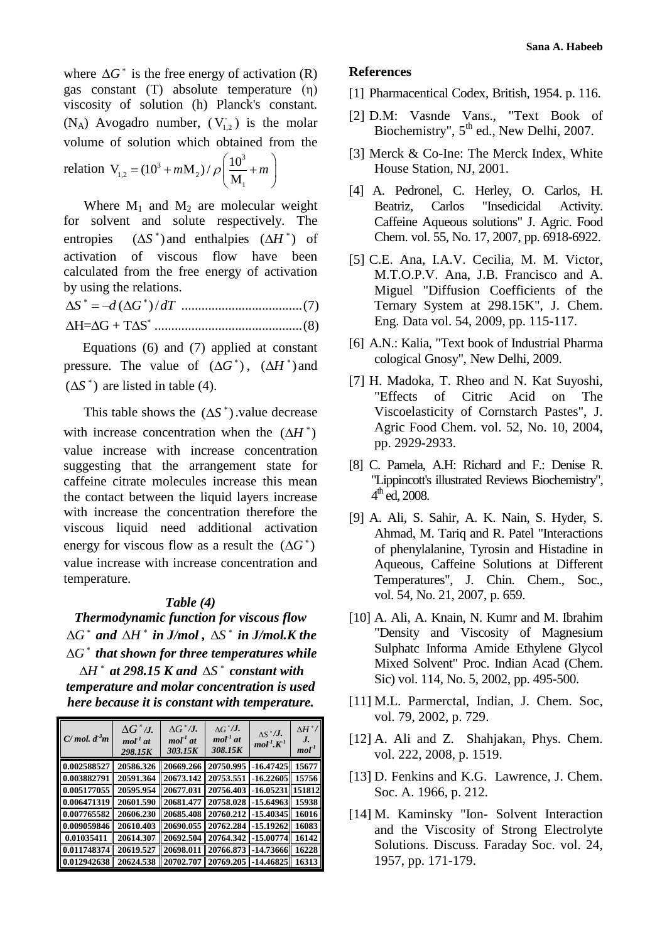where  $\Delta G^*$  is the free energy of activation (R) gas constant (T) absolute temperature (η) viscosity of solution (h) Planck's constant.  $(N_A)$  Avogadro number,  $(V_{1,2}^-)$  is the molar

volume of solution which obtained from the  
relation 
$$
V_{1,2} = (10^3 + mM_2) / \rho \left(\frac{10^3}{M_1} + m\right)
$$

Where  $M_1$  and  $M_2$  are molecular weight for solvent and solute respectively. The entropies  $(\Delta S^*)$  and enthalpies  $(\Delta H^*)$  of activation of viscous flow have been calculated from the free energy of activation by using the relations.

( ) / *S d G dT* ....................................(7) H= G + T S ............................................(8)

Equations (6) and (7) applied at constant pressure. The value of  $(\Delta G^*)$ ,  $(\Delta H^*)$  and  $(\Delta S^*)$  are listed in table (4).

This table shows the  $(\Delta S^*)$  value decrease with increase concentration when the  $(\Delta H^*)$ value increase with increase concentration suggesting that the arrangement state for caffeine citrate molecules increase this mean the contact between the liquid layers increase with increase the concentration therefore the viscous liquid need additional activation energy for viscous flow as a result the  $(\Delta G^*)$ value increase with increase concentration and temperature.

#### *Table (4)*

*Thermodynamic function for viscous flow*   $\Delta G^*$  and  $\Delta H^*$  in J/mol,  $\Delta S^*$  in J/mol.K the  $\Delta G^*$  that shown for three temperatures while  $\Delta H^*$  at 298.15 K and  $\Delta S^*$  constant with *temperature and molar concentration is used here because it is constant with temperature.*

| $C/mol$ , $d^3m$ | $\Delta G^*$ /J.<br>$mol1$ at<br>298.15K | $\Lambda G^* / J.$<br>$mol-1$ at<br>303.15K | $\Delta G^* / J.$<br>$mol-1$ at<br>308.15K | $\Delta S^*/J.$<br>mol <sup>1</sup> K <sup>1</sup> | $\Delta H^{\ast}$ /<br>J.<br>mol <sup>T</sup> |
|------------------|------------------------------------------|---------------------------------------------|--------------------------------------------|----------------------------------------------------|-----------------------------------------------|
| 0.002588527      | 20586.326                                | 20669.266                                   | 20750.995                                  | $-16.47425$                                        | 15677                                         |
| 0.003882791      | 20591.364                                | 20673.142                                   | 20753.551                                  | $-16.22605$                                        | 15756                                         |
| 0.005177055      | 20595.954                                | 20677.031                                   | 20756.403                                  | $-16.05231$                                        | 151812                                        |
| 0.006471319      | 20601.590                                | 20681.477                                   | 20758.028                                  | $-15.64963$                                        | 15938                                         |
| 0.007765582      | 20606.230                                | 20685.408                                   | 20760.212                                  | $-15.40345$                                        | 16016                                         |
| 0.009059846      | 20610.403                                | 20690.055                                   | 20762.284                                  | $-15.19262$                                        | 16083                                         |
| 0.01035411       | 20614.307                                | 20692.504                                   | 20764.342                                  | -15.00774                                          | 16142                                         |
| 0.011748374      | 20619.527                                | 20698.011                                   | 20766.873                                  | -14.73666                                          | 16228                                         |
| 0.012942638      | 20624.538                                | 20702.707                                   | 20769.205                                  | $-14.46825$                                        | 16313                                         |

#### **References**

- [1] Pharmacentical Codex, British, 1954. p. 116.
- [2] D.M: Vasnde Vans., "Text Book of Biochemistry",  $5<sup>th</sup>$  ed., New Delhi, 2007.
- [3] Merck & Co-Ine: The Merck Index, White House Station, NJ, 2001.
- [4] A. Pedronel, C. Herley, O. Carlos, H. Beatriz, Carlos "Insedicidal Activity. Caffeine Aqueous solutions" J. Agric. Food Chem. vol. 55, No. 17, 2007, pp. 6918-6922.
- [5] C.E. Ana, I.A.V. Cecilia, M. M. Victor, M.T.O.P.V. Ana, J.B. Francisco and A. Miguel "Diffusion Coefficients of the Ternary System at 298.15K", J. Chem. Eng. Data vol. 54, 2009, pp. 115-117.
- [6] A.N.: Kalia, "Text book of Industrial Pharma cological Gnosy", New Delhi, 2009.
- [7] H. Madoka, T. Rheo and N. Kat Suyoshi, "Effects of Citric Acid on The Viscoelasticity of Cornstarch Pastes", J. Agric Food Chem. vol. 52, No. 10, 2004, pp. 2929-2933.
- [8] C. Pamela, A.H: Richard and F.: Denise R. "Lippincott's illustrated Reviews Biochemistry",  $4^{\text{th}}$  ed, 2008.
- [9] A. Ali, S. Sahir, A. K. Nain, S. Hyder, S. Ahmad, M. Tariq and R. Patel "Interactions of phenylalanine, Tyrosin and Histadine in Aqueous, Caffeine Solutions at Different Temperatures", J. Chin. Chem., Soc., vol. 54, No. 21, 2007, p. 659.
- [10] A. Ali, A. Knain, N. Kumr and M. Ibrahim "Density and Viscosity of Magnesium Sulphatc Informa Amide Ethylene Glycol Mixed Solvent" Proc. Indian Acad (Chem. Sic) vol. 114, No. 5, 2002, pp. 495-500.
- [11] M.L. Parmerctal, Indian, J. Chem. Soc, vol. 79, 2002, p. 729.
- [12] A. Ali and Z. Shahjakan, Phys. Chem. vol. 222, 2008, p. 1519.
- [13] D. Fenkins and K.G. Lawrence, J. Chem. Soc. A. 1966, p. 212.
- [14] M. Kaminsky "Ion- Solvent Interaction and the Viscosity of Strong Electrolyte Solutions. Discuss. Faraday Soc. vol. 24, 1957, pp. 171-179.